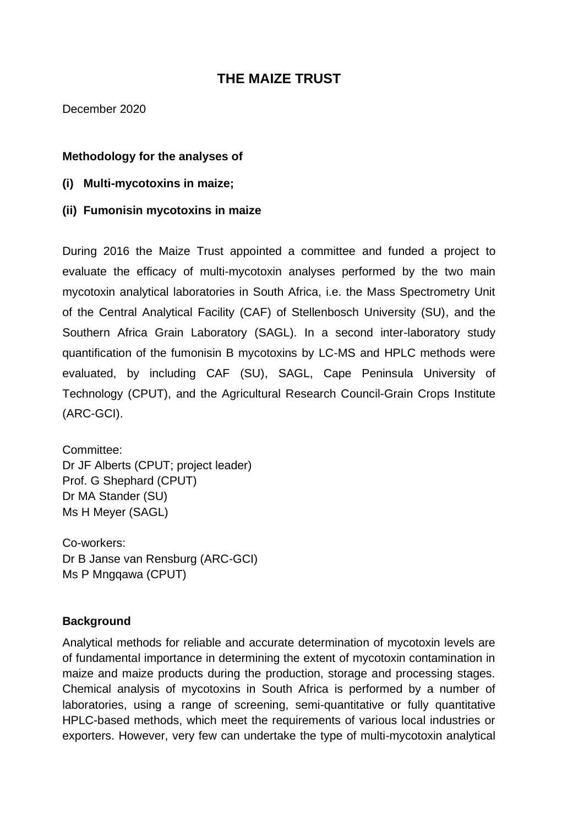# **THE MAIZE TRUST**

December 2020

#### **Methodology for the analyses of**

- **(i) Multi-mycotoxins in maize;**
- **(ii) Fumonisin mycotoxins in maize**

During 2016 the Maize Trust appointed a committee and funded a project to evaluate the efficacy of multi-mycotoxin analyses performed by the two main mycotoxin analytical laboratories in South Africa, i.e. the Mass Spectrometry Unit of the Central Analytical Facility (CAF) of Stellenbosch University (SU), and the Southern Africa Grain Laboratory (SAGL). In a second inter-laboratory study quantification of the fumonisin B mycotoxins by LC-MS and HPLC methods were evaluated, by including CAF (SU), SAGL, Cape Peninsula University of Technology (CPUT), and the Agricultural Research Council-Grain Crops Institute (ARC-GCI).

Committee: Dr JF Alberts (CPUT; project leader) Prof. G Shephard (CPUT) Dr MA Stander (SU) Ms H Meyer (SAGL)

Co-workers: Dr B Janse van Rensburg (ARC-GCI) Ms P Mngqawa (CPUT)

# **Background**

Analytical methods for reliable and accurate determination of mycotoxin levels are of fundamental importance in determining the extent of mycotoxin contamination in maize and maize products during the production, storage and processing stages. Chemical analysis of mycotoxins in South Africa is performed by a number of laboratories, using a range of screening, semi-quantitative or fully quantitative HPLC-based methods, which meet the requirements of various local industries or exporters. However, very few can undertake the type of multi-mycotoxin analytical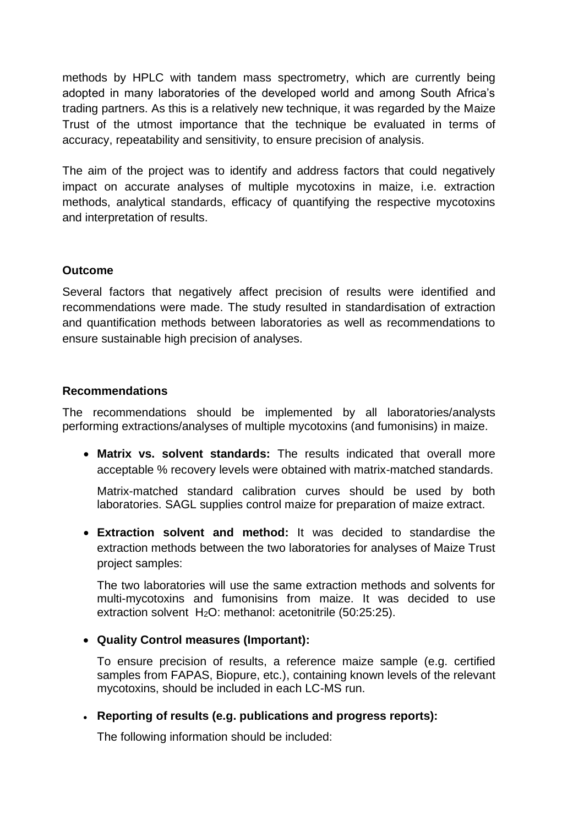methods by HPLC with tandem mass spectrometry, which are currently being adopted in many laboratories of the developed world and among South Africa's trading partners. As this is a relatively new technique, it was regarded by the Maize Trust of the utmost importance that the technique be evaluated in terms of accuracy, repeatability and sensitivity, to ensure precision of analysis.

The aim of the project was to identify and address factors that could negatively impact on accurate analyses of multiple mycotoxins in maize, i.e. extraction methods, analytical standards, efficacy of quantifying the respective mycotoxins and interpretation of results.

# **Outcome**

Several factors that negatively affect precision of results were identified and recommendations were made. The study resulted in standardisation of extraction and quantification methods between laboratories as well as recommendations to ensure sustainable high precision of analyses.

#### **Recommendations**

The recommendations should be implemented by all laboratories/analysts performing extractions/analyses of multiple mycotoxins (and fumonisins) in maize.

• **Matrix vs. solvent standards:** The results indicated that overall more acceptable % recovery levels were obtained with matrix-matched standards.

Matrix-matched standard calibration curves should be used by both laboratories. SAGL supplies control maize for preparation of maize extract.

• **Extraction solvent and method:** It was decided to standardise the extraction methods between the two laboratories for analyses of Maize Trust project samples:

The two laboratories will use the same extraction methods and solvents for multi-mycotoxins and fumonisins from maize. It was decided to use extraction solvent H<sub>2</sub>O: methanol: acetonitrile (50:25:25).

# • **Quality Control measures (Important):**

To ensure precision of results, a reference maize sample (e.g. certified samples from FAPAS, Biopure, etc.), containing known levels of the relevant mycotoxins, should be included in each LC-MS run.

# • **Reporting of results (e.g. publications and progress reports):**

The following information should be included: